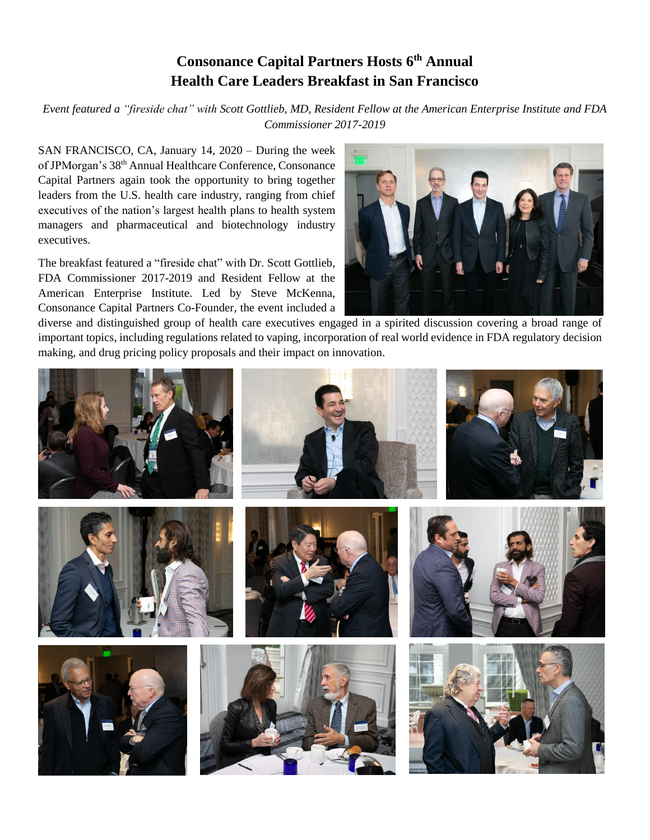## **Consonance Capital Partners Hosts 6 th Annual Health Care Leaders Breakfast in San Francisco**

*Event featured a "fireside chat" with Scott Gottlieb, MD, Resident Fellow at the American Enterprise Institute and FDA Commissioner 2017-2019*

SAN FRANCISCO, CA, January 14, 2020 – During the week of JPMorgan's 38<sup>th</sup> Annual Healthcare Conference, Consonance Capital Partners again took the opportunity to bring together leaders from the U.S. health care industry, ranging from chief executives of the nation's largest health plans to health system managers and pharmaceutical and biotechnology industry executives.

The breakfast featured a "fireside chat" with Dr. Scott Gottlieb, FDA Commissioner 2017-2019 and Resident Fellow at the American Enterprise Institute. Led by Steve McKenna, Consonance Capital Partners Co-Founder, the event included a



diverse and distinguished group of health care executives engaged in a spirited discussion covering a broad range of important topics, including regulations related to vaping, incorporation of real world evidence in FDA regulatory decision making, and drug pricing policy proposals and their impact on innovation.